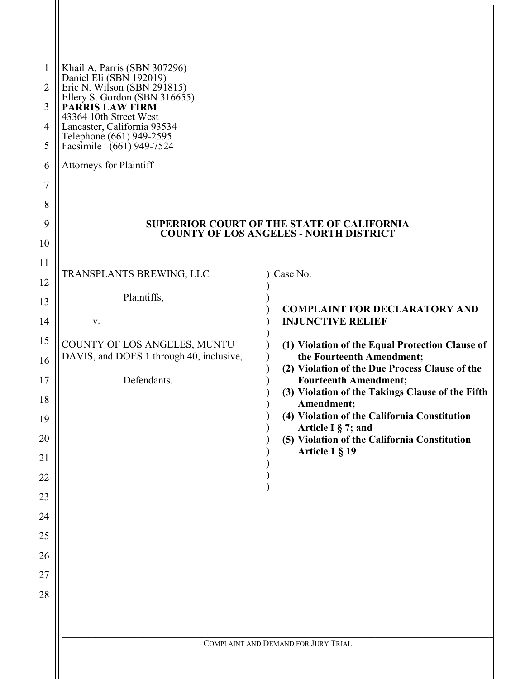| <b>SUPERRIOR COURT OF THE STATE OF CALIFORNIA</b><br><b>COUNTY OF LOS ANGELES - NORTH DISTRICT</b> |  |  |
|----------------------------------------------------------------------------------------------------|--|--|
|                                                                                                    |  |  |
|                                                                                                    |  |  |
| <b>COMPLAINT FOR DECLARATORY AND</b>                                                               |  |  |
|                                                                                                    |  |  |
| (1) Violation of the Equal Protection Clause of                                                    |  |  |
| (2) Violation of the Due Process Clause of the                                                     |  |  |
| (3) Violation of the Takings Clause of the Fifth                                                   |  |  |
| (4) Violation of the California Constitution                                                       |  |  |
| (5) Violation of the California Constitution                                                       |  |  |
|                                                                                                    |  |  |
|                                                                                                    |  |  |
|                                                                                                    |  |  |
|                                                                                                    |  |  |
|                                                                                                    |  |  |
|                                                                                                    |  |  |
|                                                                                                    |  |  |
|                                                                                                    |  |  |
|                                                                                                    |  |  |
|                                                                                                    |  |  |
|                                                                                                    |  |  |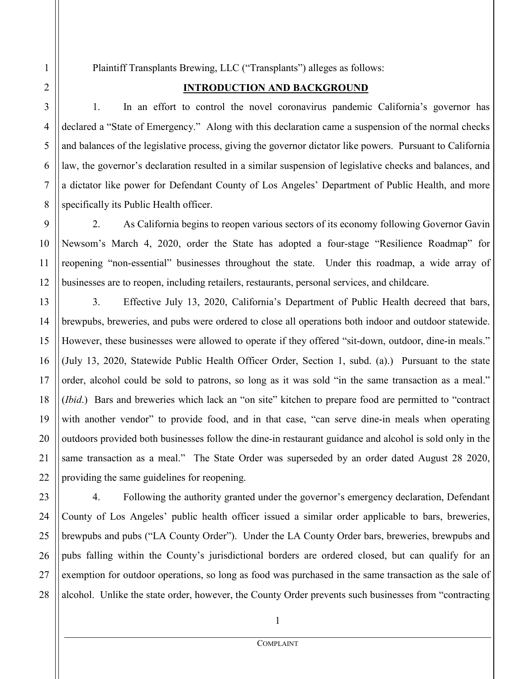Plaintiff Transplants Brewing, LLC ("Transplants") alleges as follows:

### **INTRODUCTION AND BACKGROUND**

 1. In an effort to control the novel coronavirus pandemic California's governor has declared a "State of Emergency." Along with this declaration came a suspension of the normal checks and balances of the legislative process, giving the governor dictator like powers. Pursuant to California law, the governor's declaration resulted in a similar suspension of legislative checks and balances, and a dictator like power for Defendant County of Los Angeles' Department of Public Health, and more specifically its Public Health officer.

2. As California begins to reopen various sectors of its economy following Governor Gavin Newsom's March 4, 2020, order the State has adopted a four-stage "Resilience Roadmap" for reopening "non-essential" businesses throughout the state. Under this roadmap, a wide array of businesses are to reopen, including retailers, restaurants, personal services, and childcare.

 3. Effective July 13, 2020, California's Department of Public Health decreed that bars, brewpubs, breweries, and pubs were ordered to close all operations both indoor and outdoor statewide. However, these businesses were allowed to operate if they offered "sit-down, outdoor, dine-in meals." (July 13, 2020, Statewide Public Health Officer Order, Section 1, subd. (a).) Pursuant to the state order, alcohol could be sold to patrons, so long as it was sold "in the same transaction as a meal." (*Ibid*.) Bars and breweries which lack an "on site" kitchen to prepare food are permitted to "contract with another vendor" to provide food, and in that case, "can serve dine-in meals when operating outdoors provided both businesses follow the dine-in restaurant guidance and alcohol is sold only in the same transaction as a meal." The State Order was superseded by an order dated August 28 2020, providing the same guidelines for reopening.

4. Following the authority granted under the governor's emergency declaration, Defendant County of Los Angeles' public health officer issued a similar order applicable to bars, breweries, brewpubs and pubs ("LA County Order"). Under the LA County Order bars, breweries, brewpubs and pubs falling within the County's jurisdictional borders are ordered closed, but can qualify for an exemption for outdoor operations, so long as food was purchased in the same transaction as the sale of alcohol. Unlike the state order, however, the County Order prevents such businesses from "contracting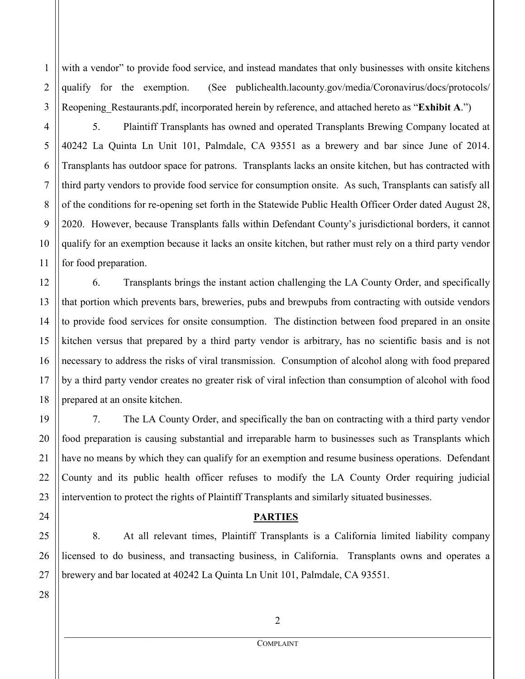with a vendor" to provide food service, and instead mandates that only businesses with onsite kitchens qualify for the exemption. (See publichealth.lacounty.gov/media/Coronavirus/docs/protocols/ Reopening Restaurants.pdf, incorporated herein by reference, and attached hereto as "**Exhibit A.**")

5. Plaintiff Transplants has owned and operated Transplants Brewing Company located at 40242 La Quinta Ln Unit 101, Palmdale, CA 93551 as a brewery and bar since June of 2014. Transplants has outdoor space for patrons. Transplants lacks an onsite kitchen, but has contracted with third party vendors to provide food service for consumption onsite. As such, Transplants can satisfy all of the conditions for re-opening set forth in the Statewide Public Health Officer Order dated August 28, 2020. However, because Transplants falls within Defendant County's jurisdictional borders, it cannot qualify for an exemption because it lacks an onsite kitchen, but rather must rely on a third party vendor for food preparation.

 6. Transplants brings the instant action challenging the LA County Order, and specifically that portion which prevents bars, breweries, pubs and brewpubs from contracting with outside vendors to provide food services for onsite consumption. The distinction between food prepared in an onsite kitchen versus that prepared by a third party vendor is arbitrary, has no scientific basis and is not necessary to address the risks of viral transmission. Consumption of alcohol along with food prepared by a third party vendor creates no greater risk of viral infection than consumption of alcohol with food prepared at an onsite kitchen.

 7. The LA County Order, and specifically the ban on contracting with a third party vendor food preparation is causing substantial and irreparable harm to businesses such as Transplants which have no means by which they can qualify for an exemption and resume business operations. Defendant County and its public health officer refuses to modify the LA County Order requiring judicial intervention to protect the rights of Plaintiff Transplants and similarly situated businesses.

### **PARTIES**

8. At all relevant times, Plaintiff Transplants is a California limited liability company licensed to do business, and transacting business, in California. Transplants owns and operates a brewery and bar located at 40242 La Quinta Ln Unit 101, Palmdale, CA 93551.

1

2

3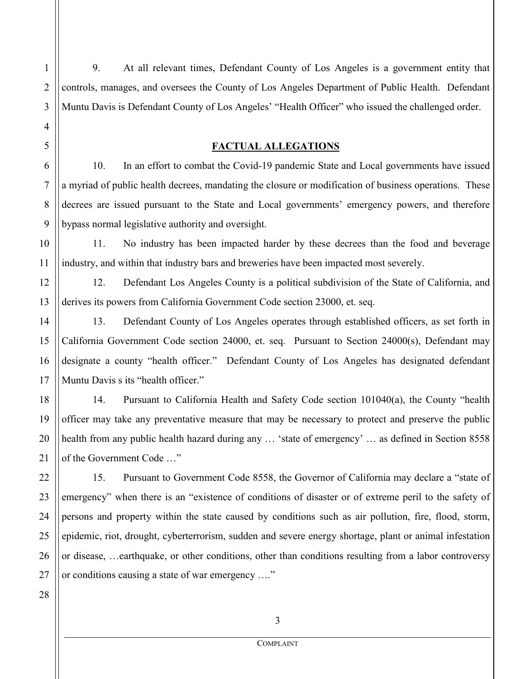9. At all relevant times, Defendant County of Los Angeles is a government entity that controls, manages, and oversees the County of Los Angeles Department of Public Health. Defendant Muntu Davis is Defendant County of Los Angeles' "Health Officer" who issued the challenged order.

#### **FACTUAL ALLEGATIONS**

10. In an effort to combat the Covid-19 pandemic State and Local governments have issued a myriad of public health decrees, mandating the closure or modification of business operations. These decrees are issued pursuant to the State and Local governments' emergency powers, and therefore bypass normal legislative authority and oversight.

11. No industry has been impacted harder by these decrees than the food and beverage industry, and within that industry bars and breweries have been impacted most severely.

12. Defendant Los Angeles County is a political subdivision of the State of California, and derives its powers from California Government Code section 23000, et. seq.

13. Defendant County of Los Angeles operates through established officers, as set forth in California Government Code section 24000, et. seq. Pursuant to Section 24000(s), Defendant may designate a county "health officer." Defendant County of Los Angeles has designated defendant Muntu Davis s its "health officer."

14. Pursuant to California Health and Safety Code section 101040(a), the County "health officer may take any preventative measure that may be necessary to protect and preserve the public health from any public health hazard during any ... 'state of emergency' ... as defined in Section 8558 of the Government Code …"

15. Pursuant to Government Code 8558, the Governor of California may declare a "state of emergency" when there is an "existence of conditions of disaster or of extreme peril to the safety of persons and property within the state caused by conditions such as air pollution, fire, flood, storm, epidemic, riot, drought, cyberterrorism, sudden and severe energy shortage, plant or animal infestation or disease, …earthquake, or other conditions, other than conditions resulting from a labor controversy or conditions causing a state of war emergency …."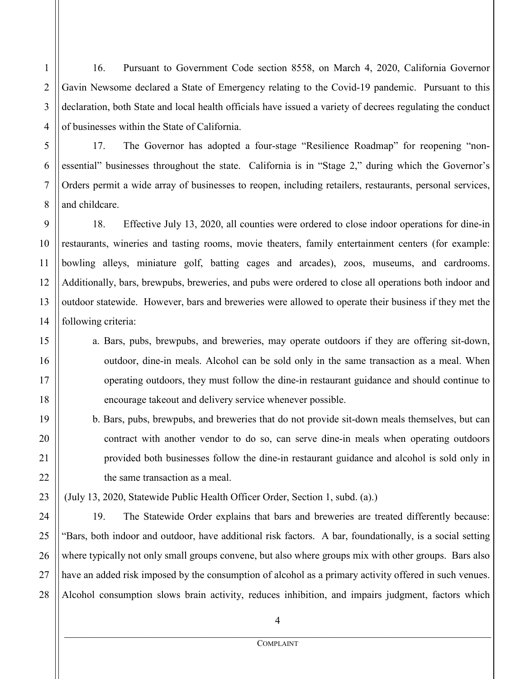16. Pursuant to Government Code section 8558, on March 4, 2020, California Governor Gavin Newsome declared a State of Emergency relating to the Covid-19 pandemic. Pursuant to this declaration, both State and local health officials have issued a variety of decrees regulating the conduct of businesses within the State of California.

1

17. The Governor has adopted a four-stage "Resilience Roadmap" for reopening "nonessential" businesses throughout the state. California is in "Stage 2," during which the Governor's Orders permit a wide array of businesses to reopen, including retailers, restaurants, personal services, and childcare.

 18. Effective July 13, 2020, all counties were ordered to close indoor operations for dine-in restaurants, wineries and tasting rooms, movie theaters, family entertainment centers (for example: bowling alleys, miniature golf, batting cages and arcades), zoos, museums, and cardrooms. Additionally, bars, brewpubs, breweries, and pubs were ordered to close all operations both indoor and outdoor statewide. However, bars and breweries were allowed to operate their business if they met the following criteria:

- a. Bars, pubs, brewpubs, and breweries, may operate outdoors if they are offering sit-down, outdoor, dine-in meals. Alcohol can be sold only in the same transaction as a meal. When operating outdoors, they must follow the dine-in restaurant guidance and should continue to encourage takeout and delivery service whenever possible.
- b. Bars, pubs, brewpubs, and breweries that do not provide sit-down meals themselves, but can contract with another vendor to do so, can serve dine-in meals when operating outdoors provided both businesses follow the dine-in restaurant guidance and alcohol is sold only in the same transaction as a meal.

(July 13, 2020, Statewide Public Health Officer Order, Section 1, subd. (a).)

 19. The Statewide Order explains that bars and breweries are treated differently because: "Bars, both indoor and outdoor, have additional risk factors. A bar, foundationally, is a social setting where typically not only small groups convene, but also where groups mix with other groups. Bars also have an added risk imposed by the consumption of alcohol as a primary activity offered in such venues. Alcohol consumption slows brain activity, reduces inhibition, and impairs judgment, factors which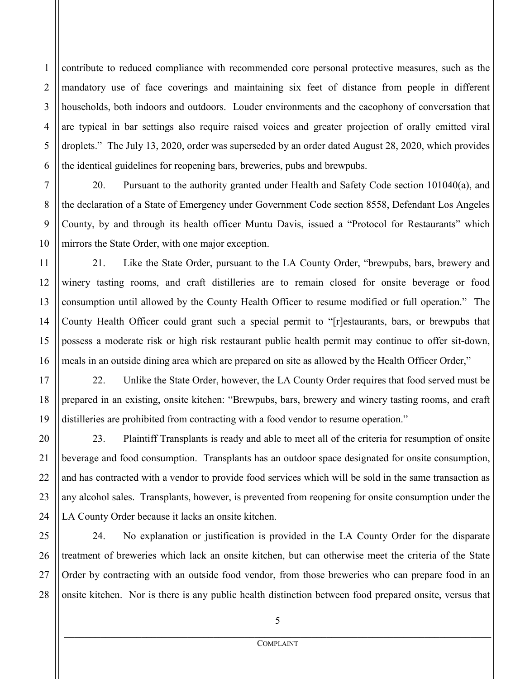contribute to reduced compliance with recommended core personal protective measures, such as the mandatory use of face coverings and maintaining six feet of distance from people in different households, both indoors and outdoors. Louder environments and the cacophony of conversation that are typical in bar settings also require raised voices and greater projection of orally emitted viral droplets." The July 13, 2020, order was superseded by an order dated August 28, 2020, which provides the identical guidelines for reopening bars, breweries, pubs and brewpubs.

20. Pursuant to the authority granted under Health and Safety Code section 101040(a), and the declaration of a State of Emergency under Government Code section 8558, Defendant Los Angeles County, by and through its health officer Muntu Davis, issued a "Protocol for Restaurants" which mirrors the State Order, with one major exception.

21. Like the State Order, pursuant to the LA County Order, "brewpubs, bars, brewery and winery tasting rooms, and craft distilleries are to remain closed for onsite beverage or food consumption until allowed by the County Health Officer to resume modified or full operation." The County Health Officer could grant such a special permit to "[r]estaurants, bars, or brewpubs that possess a moderate risk or high risk restaurant public health permit may continue to offer sit-down, meals in an outside dining area which are prepared on site as allowed by the Health Officer Order,"

22. Unlike the State Order, however, the LA County Order requires that food served must be prepared in an existing, onsite kitchen: "Brewpubs, bars, brewery and winery tasting rooms, and craft distilleries are prohibited from contracting with a food vendor to resume operation."

23. Plaintiff Transplants is ready and able to meet all of the criteria for resumption of onsite beverage and food consumption. Transplants has an outdoor space designated for onsite consumption, and has contracted with a vendor to provide food services which will be sold in the same transaction as any alcohol sales. Transplants, however, is prevented from reopening for onsite consumption under the LA County Order because it lacks an onsite kitchen.

24. No explanation or justification is provided in the LA County Order for the disparate treatment of breweries which lack an onsite kitchen, but can otherwise meet the criteria of the State Order by contracting with an outside food vendor, from those breweries who can prepare food in an onsite kitchen. Nor is there is any public health distinction between food prepared onsite, versus that

1

2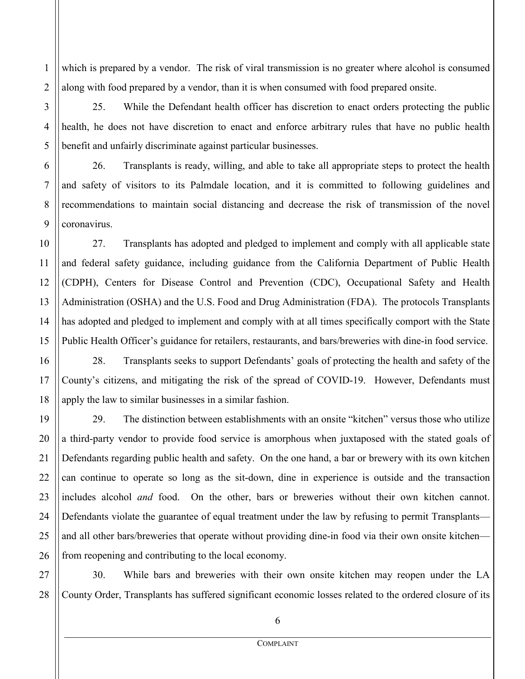which is prepared by a vendor. The risk of viral transmission is no greater where alcohol is consumed along with food prepared by a vendor, than it is when consumed with food prepared onsite.

25. While the Defendant health officer has discretion to enact orders protecting the public health, he does not have discretion to enact and enforce arbitrary rules that have no public health benefit and unfairly discriminate against particular businesses.

26. Transplants is ready, willing, and able to take all appropriate steps to protect the health and safety of visitors to its Palmdale location, and it is committed to following guidelines and recommendations to maintain social distancing and decrease the risk of transmission of the novel coronavirus.

 27. Transplants has adopted and pledged to implement and comply with all applicable state and federal safety guidance, including guidance from the California Department of Public Health (CDPH), Centers for Disease Control and Prevention (CDC), Occupational Safety and Health Administration (OSHA) and the U.S. Food and Drug Administration (FDA). The protocols Transplants has adopted and pledged to implement and comply with at all times specifically comport with the State Public Health Officer's guidance for retailers, restaurants, and bars/breweries with dine-in food service.

 28. Transplants seeks to support Defendants' goals of protecting the health and safety of the County's citizens, and mitigating the risk of the spread of COVID-19. However, Defendants must apply the law to similar businesses in a similar fashion.

 29. The distinction between establishments with an onsite "kitchen" versus those who utilize a third-party vendor to provide food service is amorphous when juxtaposed with the stated goals of Defendants regarding public health and safety. On the one hand, a bar or brewery with its own kitchen can continue to operate so long as the sit-down, dine in experience is outside and the transaction includes alcohol *and* food. On the other, bars or breweries without their own kitchen cannot. Defendants violate the guarantee of equal treatment under the law by refusing to permit Transplants and all other bars/breweries that operate without providing dine-in food via their own onsite kitchen from reopening and contributing to the local economy.

 30. While bars and breweries with their own onsite kitchen may reopen under the LA County Order, Transplants has suffered significant economic losses related to the ordered closure of its

1

2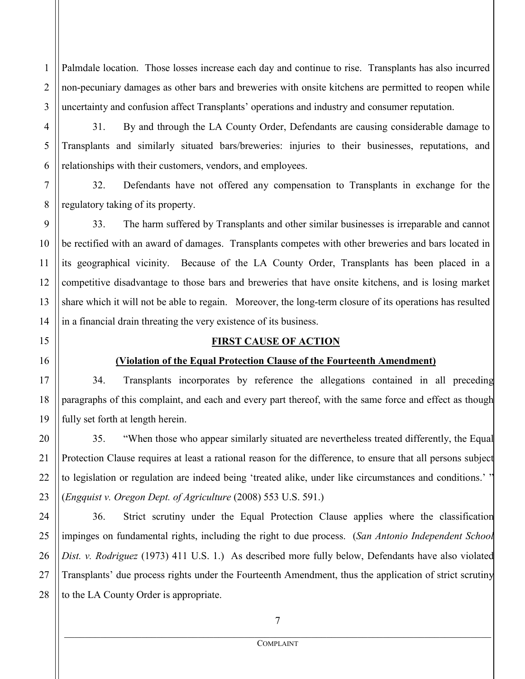1 2 3 Palmdale location. Those losses increase each day and continue to rise. Transplants has also incurred non-pecuniary damages as other bars and breweries with onsite kitchens are permitted to reopen while uncertainty and confusion affect Transplants' operations and industry and consumer reputation.

 31. By and through the LA County Order, Defendants are causing considerable damage to Transplants and similarly situated bars/breweries: injuries to their businesses, reputations, and relationships with their customers, vendors, and employees.

 32. Defendants have not offered any compensation to Transplants in exchange for the regulatory taking of its property.

 33. The harm suffered by Transplants and other similar businesses is irreparable and cannot be rectified with an award of damages. Transplants competes with other breweries and bars located in its geographical vicinity. Because of the LA County Order, Transplants has been placed in a competitive disadvantage to those bars and breweries that have onsite kitchens, and is losing market share which it will not be able to regain. Moreover, the long-term closure of its operations has resulted in a financial drain threating the very existence of its business.

### **FIRST CAUSE OF ACTION**

# **(Violation of the Equal Protection Clause of the Fourteenth Amendment)**

34. Transplants incorporates by reference the allegations contained in all preceding paragraphs of this complaint, and each and every part thereof, with the same force and effect as though fully set forth at length herein.

35. "When those who appear similarly situated are nevertheless treated differently, the Equal Protection Clause requires at least a rational reason for the difference, to ensure that all persons subject to legislation or regulation are indeed being 'treated alike, under like circumstances and conditions.' " (*Engquist v. Oregon Dept. of Agriculture* (2008) 553 U.S. 591.)

24 25 26 27 28 36. Strict scrutiny under the Equal Protection Clause applies where the classification impinges on fundamental rights, including the right to due process. (*San Antonio Independent School Dist. v. Rodriguez* (1973) 411 U.S. 1.) As described more fully below, Defendants have also violated Transplants' due process rights under the Fourteenth Amendment, thus the application of strict scrutiny to the LA County Order is appropriate.

4

5

6

7

8

9

10

11

12

13

14

15

16

17

18

19

20

21

22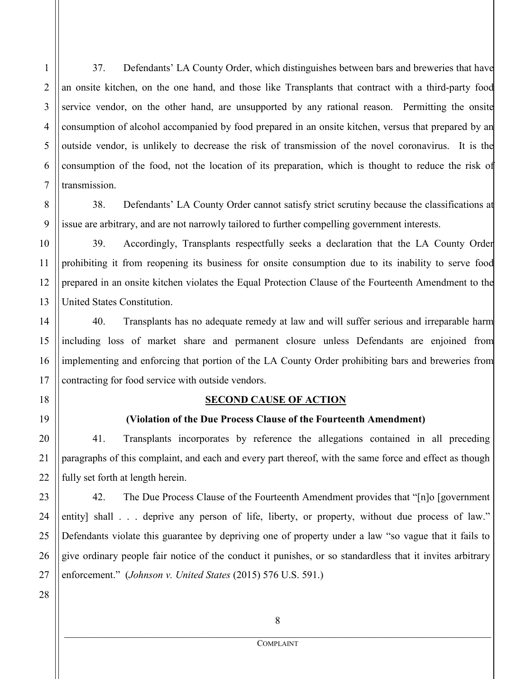37. Defendants' LA County Order, which distinguishes between bars and breweries that have an onsite kitchen, on the one hand, and those like Transplants that contract with a third-party food service vendor, on the other hand, are unsupported by any rational reason. Permitting the onsite consumption of alcohol accompanied by food prepared in an onsite kitchen, versus that prepared by an outside vendor, is unlikely to decrease the risk of transmission of the novel coronavirus. It is the consumption of the food, not the location of its preparation, which is thought to reduce the risk of transmission.

38. Defendants' LA County Order cannot satisfy strict scrutiny because the classifications at issue are arbitrary, and are not narrowly tailored to further compelling government interests.

39. Accordingly, Transplants respectfully seeks a declaration that the LA County Order prohibiting it from reopening its business for onsite consumption due to its inability to serve food prepared in an onsite kitchen violates the Equal Protection Clause of the Fourteenth Amendment to the United States Constitution.

40. Transplants has no adequate remedy at law and will suffer serious and irreparable harm including loss of market share and permanent closure unless Defendants are enjoined from implementing and enforcing that portion of the LA County Order prohibiting bars and breweries from contracting for food service with outside vendors.

#### **SECOND CAUSE OF ACTION**

### **(Violation of the Due Process Clause of the Fourteenth Amendment)**

 41. Transplants incorporates by reference the allegations contained in all preceding paragraphs of this complaint, and each and every part thereof, with the same force and effect as though fully set forth at length herein.

 42. The Due Process Clause of the Fourteenth Amendment provides that "[n]o [government entity] shall . . . deprive any person of life, liberty, or property, without due process of law." Defendants violate this guarantee by depriving one of property under a law "so vague that it fails to give ordinary people fair notice of the conduct it punishes, or so standardless that it invites arbitrary enforcement." (*Johnson v. United States* (2015) 576 U.S. 591.)

1

2

3

4

5

6

7

8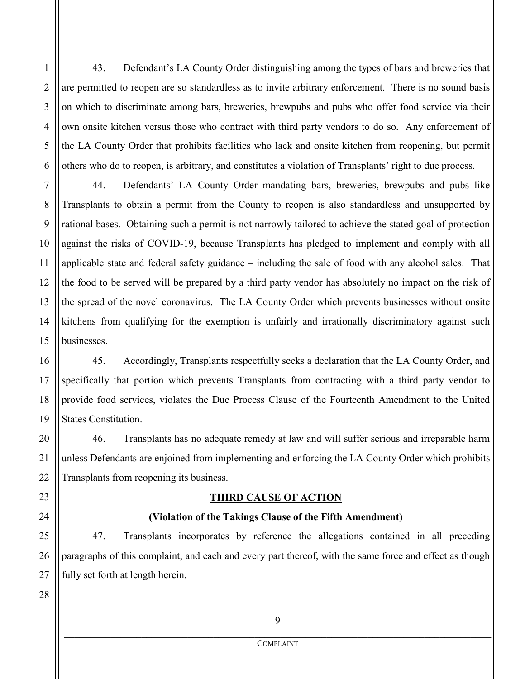43. Defendant's LA County Order distinguishing among the types of bars and breweries that are permitted to reopen are so standardless as to invite arbitrary enforcement. There is no sound basis on which to discriminate among bars, breweries, brewpubs and pubs who offer food service via their own onsite kitchen versus those who contract with third party vendors to do so. Any enforcement of the LA County Order that prohibits facilities who lack and onsite kitchen from reopening, but permit others who do to reopen, is arbitrary, and constitutes a violation of Transplants' right to due process.

7 8 10 12 13 14 15 44. Defendants' LA County Order mandating bars, breweries, brewpubs and pubs like Transplants to obtain a permit from the County to reopen is also standardless and unsupported by rational bases. Obtaining such a permit is not narrowly tailored to achieve the stated goal of protection against the risks of COVID-19, because Transplants has pledged to implement and comply with all applicable state and federal safety guidance – including the sale of food with any alcohol sales. That the food to be served will be prepared by a third party vendor has absolutely no impact on the risk of the spread of the novel coronavirus. The LA County Order which prevents businesses without onsite kitchens from qualifying for the exemption is unfairly and irrationally discriminatory against such businesses.

 45. Accordingly, Transplants respectfully seeks a declaration that the LA County Order, and specifically that portion which prevents Transplants from contracting with a third party vendor to provide food services, violates the Due Process Clause of the Fourteenth Amendment to the United States Constitution.

 46. Transplants has no adequate remedy at law and will suffer serious and irreparable harm unless Defendants are enjoined from implementing and enforcing the LA County Order which prohibits Transplants from reopening its business.

#### **THIRD CAUSE OF ACTION**

### **(Violation of the Takings Clause of the Fifth Amendment)**

47. Transplants incorporates by reference the allegations contained in all preceding paragraphs of this complaint, and each and every part thereof, with the same force and effect as though fully set forth at length herein.

28

1

2

3

4

5

6

9

11

16

9 \_\_\_\_\_\_\_\_\_\_\_\_\_\_\_\_\_\_\_\_\_\_\_\_\_\_\_\_\_\_\_\_\_\_\_\_\_\_\_\_\_\_\_\_\_\_\_\_\_\_\_\_\_\_\_\_\_\_\_\_\_\_\_\_\_\_\_\_\_\_\_\_\_\_\_\_\_\_\_\_\_\_\_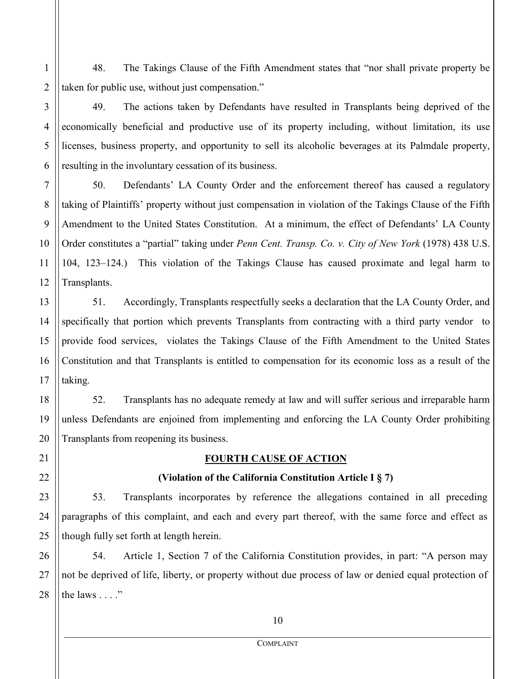48. The Takings Clause of the Fifth Amendment states that "nor shall private property be taken for public use, without just compensation."

 49. The actions taken by Defendants have resulted in Transplants being deprived of the economically beneficial and productive use of its property including, without limitation, its use licenses, business property, and opportunity to sell its alcoholic beverages at its Palmdale property, resulting in the involuntary cessation of its business.

 50. Defendants' LA County Order and the enforcement thereof has caused a regulatory taking of Plaintiffs' property without just compensation in violation of the Takings Clause of the Fifth Amendment to the United States Constitution. At a minimum, the effect of Defendants' LA County Order constitutes a "partial" taking under *Penn Cent. Transp. Co. v. City of New York* (1978) 438 U.S. 104, 123–124.) This violation of the Takings Clause has caused proximate and legal harm to Transplants.

 51. Accordingly, Transplants respectfully seeks a declaration that the LA County Order, and specifically that portion which prevents Transplants from contracting with a third party vendor to provide food services, violates the Takings Clause of the Fifth Amendment to the United States Constitution and that Transplants is entitled to compensation for its economic loss as a result of the taking.

 52. Transplants has no adequate remedy at law and will suffer serious and irreparable harm unless Defendants are enjoined from implementing and enforcing the LA County Order prohibiting Transplants from reopening its business.

1

2

3

4

5

6

7

8

9

10

11

12

13

14

15

16

17

18

19

20

21

22

23

24

25

# **FOURTH CAUSE OF ACTION**

# **(Violation of the California Constitution Article I § 7)**

53. Transplants incorporates by reference the allegations contained in all preceding paragraphs of this complaint, and each and every part thereof, with the same force and effect as though fully set forth at length herein.

26 27 28 54. Article 1, Section 7 of the California Constitution provides, in part: "A person may not be deprived of life, liberty, or property without due process of law or denied equal protection of the laws  $\dots$ ."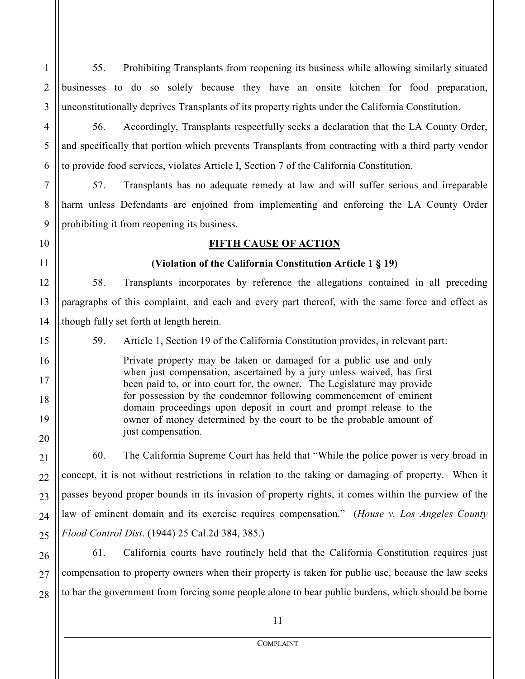55. Prohibiting Transplants from reopening its business while allowing similarly situated businesses to do so solely because they have an onsite kitchen for food preparation, unconstitutionally deprives Transplants of its property rights under the California Constitution.

56. Accordingly, Transplants respectfully seeks a declaration that the LA County Order, and specifically that portion which prevents Transplants from contracting with a third party vendor to provide food services, violates Article I, Section 7 of the California Constitution.

57. Transplants has no adequate remedy at law and will suffer serious and irreparable harm unless Defendants are enjoined from implementing and enforcing the LA County Order prohibiting it from reopening its business.

# **FIFTH CAUSE OF ACTION**

## **(Violation of the California Constitution Article 1 § 19)**

 58. Transplants incorporates by reference the allegations contained in all preceding paragraphs of this complaint, and each and every part thereof, with the same force and effect as though fully set forth at length herein.

59. Article 1, Section 19 of the California Constitution provides, in relevant part:

Private property may be taken or damaged for a public use and only when just compensation, ascertained by a jury unless waived, has first been paid to, or into court for, the owner. The Legislature may provide for possession by the condemnor following commencement of eminent domain proceedings upon deposit in court and prompt release to the owner of money determined by the court to be the probable amount of just compensation.

60. The California Supreme Court has held that "While the police power is very broad in concept, it is not without restrictions in relation to the taking or damaging of property. When it passes beyond proper bounds in its invasion of property rights, it comes within the purview of the law of eminent domain and its exercise requires compensation." (*House v. Los Angeles County Flood Control Dist*. (1944) 25 Cal.2d 384, 385.)

61. California courts have routinely held that the California Constitution requires just compensation to property owners when their property is taken for public use, because the law seeks to bar the government from forcing some people alone to bear public burdens, which should be borne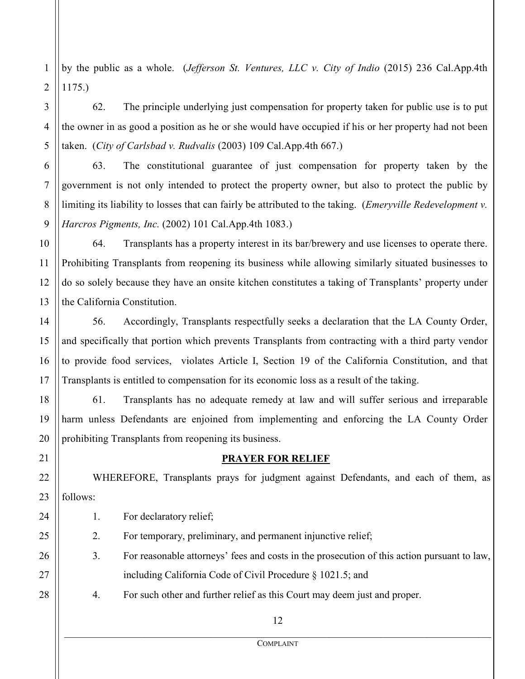2 by the public as a whole. (*Jefferson St. Ventures, LLC v. City of Indio* (2015) 236 Cal.App.4th 1175.)

62. The principle underlying just compensation for property taken for public use is to put the owner in as good a position as he or she would have occupied if his or her property had not been taken. (*City of Carlsbad v. Rudvalis* (2003) 109 Cal.App.4th 667.)

63. The constitutional guarantee of just compensation for property taken by the government is not only intended to protect the property owner, but also to protect the public by limiting its liability to losses that can fairly be attributed to the taking. (*Emeryville Redevelopment v. Harcros Pigments, Inc.* (2002) 101 Cal.App.4th 1083.)

64. Transplants has a property interest in its bar/brewery and use licenses to operate there. Prohibiting Transplants from reopening its business while allowing similarly situated businesses to do so solely because they have an onsite kitchen constitutes a taking of Transplants' property under the California Constitution.

56. Accordingly, Transplants respectfully seeks a declaration that the LA County Order, and specifically that portion which prevents Transplants from contracting with a third party vendor to provide food services, violates Article I, Section 19 of the California Constitution, and that Transplants is entitled to compensation for its economic loss as a result of the taking.

61. Transplants has no adequate remedy at law and will suffer serious and irreparable harm unless Defendants are enjoined from implementing and enforcing the LA County Order prohibiting Transplants from reopening its business.

21

1

3

4

5

6

7

8

9

10

11

12

13

14

15

16

17

18

19

20

22

23

24

25

26

27

28

# **PRAYER FOR RELIEF**

WHEREFORE, Transplants prays for judgment against Defendants, and each of them, as follows:

1. For declaratory relief;

2. For temporary, preliminary, and permanent injunctive relief;

3. For reasonable attorneys' fees and costs in the prosecution of this action pursuant to law, including California Code of Civil Procedure § 1021.5; and

4. For such other and further relief as this Court may deem just and proper.